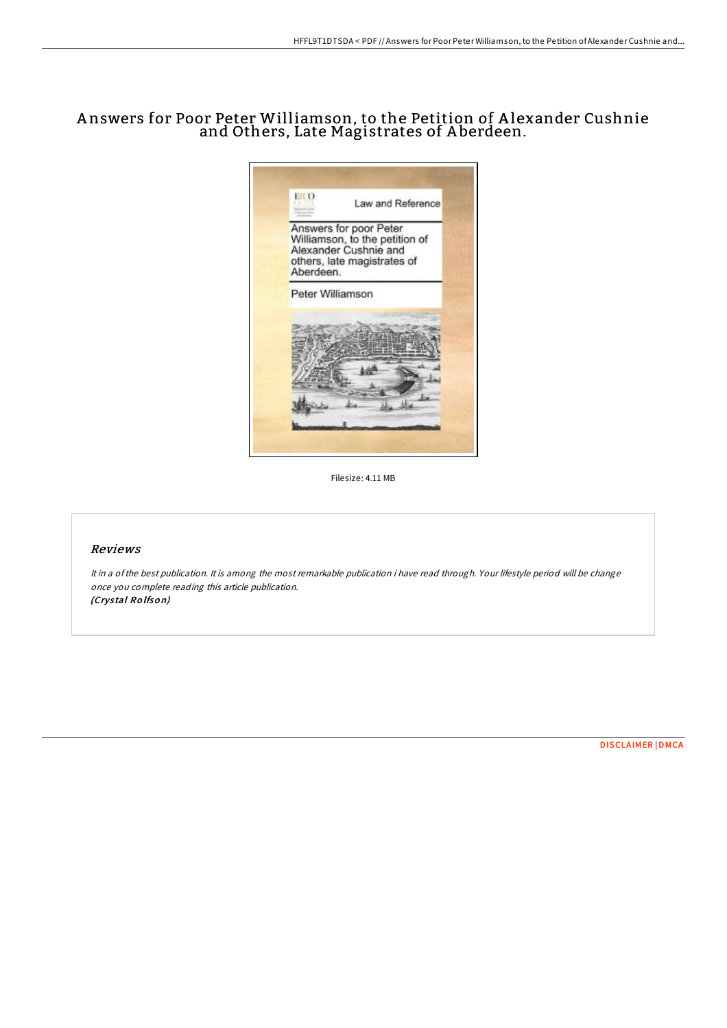## A nswers for Poor Peter Williamson, to the Petition of A lexander Cushnie and Others, Late Magistrates of A berdeen.



Filesize: 4.11 MB

## Reviews

It in <sup>a</sup> ofthe best publication. It is among the most remarkable publication i have read through. Your lifestyle period will be change once you complete reading this article publication. (Crys tal Ro lfso n)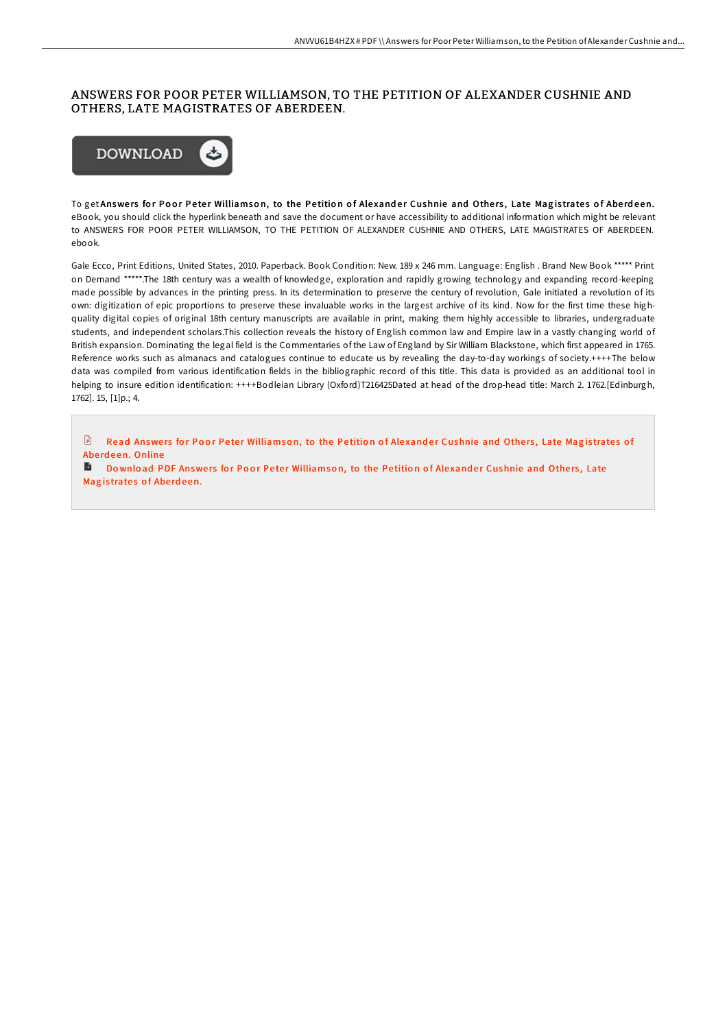## ANSWERS FOR POOR PETER WILLIAMSON, TO THE PETITION OF ALEXANDER CUSHNIE AND OTHERS, LATE MAGISTRATES OF ABERDEEN.



To get Answers for Poor Peter Williamson, to the Petition of Alexander Cushnie and Others, Late Magistrates of Aberdeen. eBook, you should click the hyperlink beneath and save the document or have accessibility to additional information which might be relevant to ANSWERS FOR POOR PETER WILLIAMSON, TO THE PETITION OF ALEXANDER CUSHNIE AND OTHERS, LATE MAGISTRATES OF ABERDEEN. ebook.

Gale Ecco, Print Editions, United States, 2010. Paperback. Book Condition: New. 189 x 246 mm. Language: English . Brand New Book \*\*\*\*\* Print on Demand \*\*\*\*\*.The 18th century was a wealth of knowledge, exploration and rapidly growing technology and expanding record-keeping made possible by advances in the printing press. In its determination to preserve the century of revolution, Gale initiated a revolution of its own: digitization of epic proportions to preserve these invaluable works in the largest archive of its kind. Now for the first time these highquality digital copies of original 18th century manuscripts are available in print, making them highly accessible to libraries, undergraduate students, and independent scholars.This collection reveals the history of English common law and Empire law in a vastly changing world of British expansion. Dominating the legal field is the Commentaries of the Law of England by Sir William Blackstone, which first appeared in 1765. Reference works such as almanacs and catalogues continue to educate us by revealing the day-to-day workings of society.++++The below data was compiled from various identification fields in the bibliographic record of this title. This data is provided as an additional tool in helping to insure edition identification: ++++Bodleian Library (Oxford)T216425Dated at head of the drop-head title: March 2. 1762.[Edinburgh, 1762]. 15, [1]p.; 4.

 $\mathbb B$  Read Answers for Poor Peter [Williamso](http://almighty24.tech/answers-for-poor-peter-williamson-to-the-petitio.html)n, to the Petition of Alexander Cushnie and Others, Late Magistrates of Abe rd e en. Online

Download PDF Answers for Poor Peter [Williamso](http://almighty24.tech/answers-for-poor-peter-williamson-to-the-petitio.html)n, to the Petition of Alexander Cushnie and Others, Late Magistrates of Aberdeen.